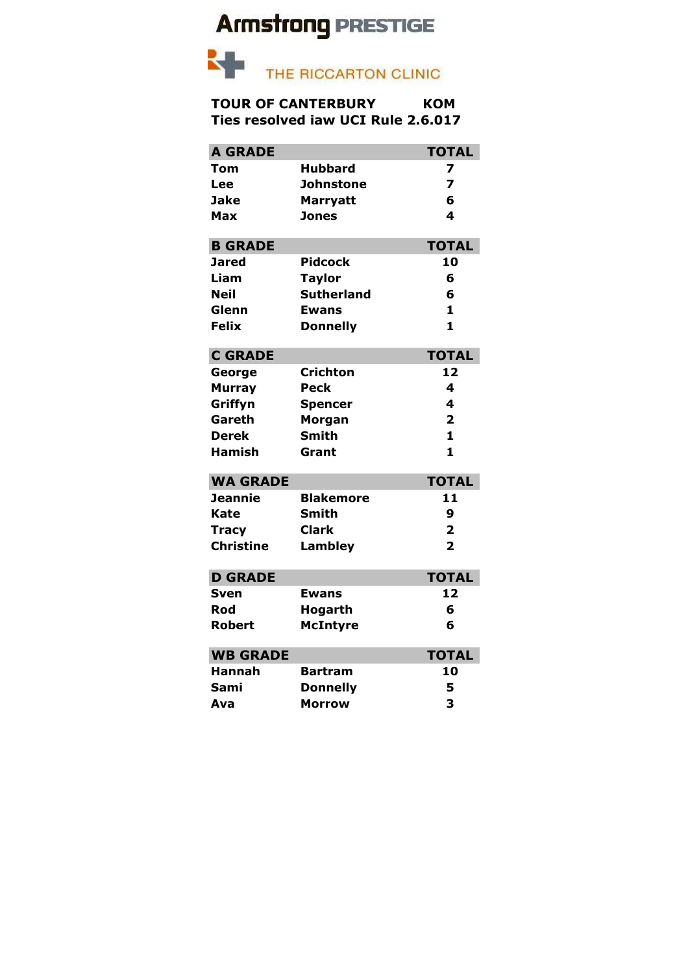## **Armstrong PRESTIGE**



## **TOUR OF CANTERBURY KOM Ties resolved iaw UCI Rule 2.6.017**

| <b>A GRADE</b>   |                   | <b>TOTAL</b>   |
|------------------|-------------------|----------------|
| Tom              | <b>Hubbard</b>    | 7              |
| Lee              | Johnstone         | $\overline{z}$ |
| Jake             | <b>Marryatt</b>   | 6              |
| Max              | <b>Jones</b>      | 4              |
| <b>B GRADE</b>   |                   | <b>TOTAL</b>   |
| Jared            | <b>Pidcock</b>    | 10             |
| Liam             | <b>Taylor</b>     | 6              |
| <b>Neil</b>      | <b>Sutherland</b> | 6              |
| Glenn            | Ewans             | $\mathbf{1}$   |
| <b>Felix</b>     | <b>Donnelly</b>   | 1              |
| <b>C GRADE</b>   |                   | <b>TOTAL</b>   |
| George           | <b>Crichton</b>   | 12             |
| <b>Murray</b>    | <b>Peck</b>       | 4              |
| Griffyn          | <b>Spencer</b>    | 4              |
| Gareth           | <b>Morgan</b>     | $\overline{2}$ |
| <b>Derek</b>     | <b>Smith</b>      | 1              |
| <b>Hamish</b>    | Grant             | $\mathbf{1}$   |
| <b>WA GRADE</b>  |                   | <b>TOTAL</b>   |
| <b>Jeannie</b>   | <b>Blakemore</b>  | 11             |
| Kate             | <b>Smith</b>      | 9              |
| <b>Tracy</b>     | Clark             | $\overline{2}$ |
| <b>Christine</b> | <b>Lambley</b>    | $\overline{2}$ |
| <b>D GRADE</b>   |                   | <b>TOTAL</b>   |
| Sven             | <b>Ewans</b>      | 12             |
| Rod              | Hogarth           | 6              |
| Robert           | <b>McIntyre</b>   | 6              |
| <b>WB GRADE</b>  |                   | <b>TOTAL</b>   |
| Hannah           | <b>Bartram</b>    | 10             |
| Sami             | <b>Donnelly</b>   | 5              |
| Ava              | <b>Morrow</b>     | 3              |